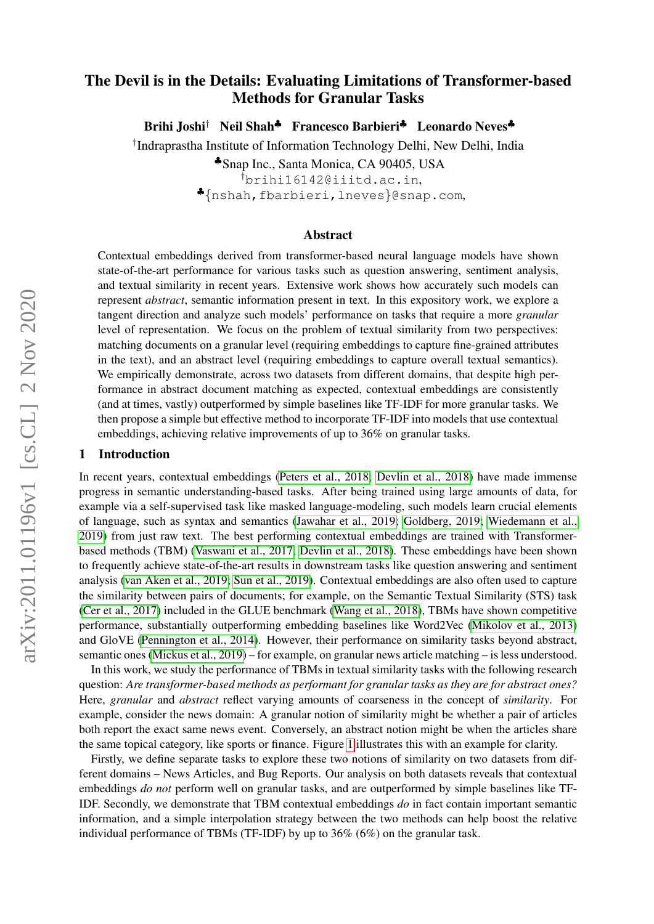# The Devil is in the Details: Evaluating Limitations of Transformer-based Methods for Granular Tasks

Brihi Joshi<sup>†</sup> Neil Shah<sup>♣</sup> Francesco Barbieri<sup>♣</sup> Leonardo Neves<sup>♣</sup>

† Indraprastha Institute of Information Technology Delhi, New Delhi, India

♣Snap Inc., Santa Monica, CA 90405, USA

†brihi16142@iiitd.ac.in, ♣{nshah,fbarbieri,lneves}@snap.com,

#### Abstract

Contextual embeddings derived from transformer-based neural language models have shown state-of-the-art performance for various tasks such as question answering, sentiment analysis, and textual similarity in recent years. Extensive work shows how accurately such models can represent *abstract*, semantic information present in text. In this expository work, we explore a tangent direction and analyze such models' performance on tasks that require a more *granular* level of representation. We focus on the problem of textual similarity from two perspectives: matching documents on a granular level (requiring embeddings to capture fine-grained attributes in the text), and an abstract level (requiring embeddings to capture overall textual semantics). We empirically demonstrate, across two datasets from different domains, that despite high performance in abstract document matching as expected, contextual embeddings are consistently (and at times, vastly) outperformed by simple baselines like TF-IDF for more granular tasks. We then propose a simple but effective method to incorporate TF-IDF into models that use contextual embeddings, achieving relative improvements of up to 36% on granular tasks.

#### 1 Introduction

In recent years, contextual embeddings [\(Peters et al., 2018;](#page-5-0) [Devlin et al., 2018\)](#page-4-0) have made immense progress in semantic understanding-based tasks. After being trained using large amounts of data, for example via a self-supervised task like masked language-modeling, such models learn crucial elements of language, such as syntax and semantics [\(Jawahar et al., 2019;](#page-4-1) [Goldberg, 2019;](#page-4-2) [Wiedemann et al.,](#page-6-0) [2019\)](#page-6-0) from just raw text. The best performing contextual embeddings are trained with Transformerbased methods (TBM) [\(Vaswani et al., 2017;](#page-6-1) [Devlin et al., 2018\)](#page-4-0). These embeddings have been shown to frequently achieve state-of-the-art results in downstream tasks like question answering and sentiment analysis [\(van Aken et al., 2019;](#page-5-1) [Sun et al., 2019\)](#page-5-2). Contextual embeddings are also often used to capture the similarity between pairs of documents; for example, on the Semantic Textual Similarity (STS) task [\(Cer et al., 2017\)](#page-4-3) included in the GLUE benchmark [\(Wang et al., 2018\)](#page-6-2), TBMs have shown competitive performance, substantially outperforming embedding baselines like Word2Vec [\(Mikolov et al., 2013\)](#page-5-3) and GloVE [\(Pennington et al., 2014\)](#page-5-4). However, their performance on similarity tasks beyond abstract, semantic ones [\(Mickus et al., 2019\)](#page-5-5) – for example, on granular news article matching – is less understood.

In this work, we study the performance of TBMs in textual similarity tasks with the following research question: *Are transformer-based methods as performant for granular tasks as they are for abstract ones?* Here, *granular* and *abstract* reflect varying amounts of coarseness in the concept of *similarity*. For example, consider the news domain: A granular notion of similarity might be whether a pair of articles both report the exact same news event. Conversely, an abstract notion might be when the articles share the same topical category, like sports or finance. Figure [1](#page-1-0) illustrates this with an example for clarity.

Firstly, we define separate tasks to explore these two notions of similarity on two datasets from different domains – News Articles, and Bug Reports. Our analysis on both datasets reveals that contextual embeddings *do not* perform well on granular tasks, and are outperformed by simple baselines like TF-IDF. Secondly, we demonstrate that TBM contextual embeddings *do* in fact contain important semantic information, and a simple interpolation strategy between the two methods can help boost the relative individual performance of TBMs (TF-IDF) by up to 36% (6%) on the granular task.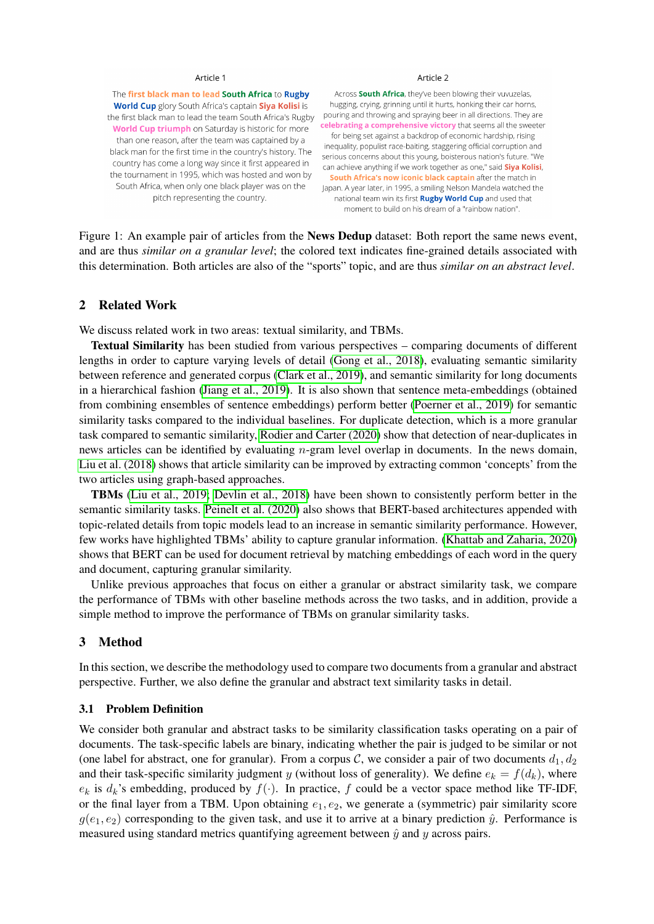#### Article 1

<span id="page-1-0"></span>The first black man to lead South Africa to Rugby World Cup glory South Africa's captain Siya Kolisi is the first black man to lead the team South Africa's Rugby World Cup triumph on Saturday is historic for more than one reason, after the team was captained by a black man for the first time in the country's history. The country has come a long way since it first appeared in the tournament in 1995, which was hosted and won by South Africa, when only one black player was on the pitch representing the country.

#### Article 2

Across South Africa, they've been blowing their vuyuzelas. hugging, crying, grinning until it hurts, honking their car horns, pouring and throwing and spraying beer in all directions. They are celebrating a comprehensive victory that seems all the sweeter for being set against a backdrop of economic hardship, rising inequality, populist race-baiting, staggering official corruption and serious concerns about this young, boisterous nation's future. "We can achieve anything if we work together as one," said Siya Kolisi, South Africa's now iconic black captain after the match in Japan. A year later, in 1995, a smiling Nelson Mandela watched the national team win its first **Rugby World Cup** and used that moment to build on his dream of a "rainbow nation".

Figure 1: An example pair of articles from the News Dedup dataset: Both report the same news event, and are thus *similar on a granular level*; the colored text indicates fine-grained details associated with this determination. Both articles are also of the "sports" topic, and are thus *similar on an abstract level*.

#### 2 Related Work

We discuss related work in two areas: textual similarity, and TBMs.

Textual Similarity has been studied from various perspectives – comparing documents of different lengths in order to capture varying levels of detail [\(Gong et al., 2018\)](#page-4-4), evaluating semantic similarity between reference and generated corpus [\(Clark et al., 2019\)](#page-4-5), and semantic similarity for long documents in a hierarchical fashion [\(Jiang et al., 2019\)](#page-5-6). It is also shown that sentence meta-embeddings (obtained from combining ensembles of sentence embeddings) perform better [\(Poerner et al., 2019\)](#page-5-7) for semantic similarity tasks compared to the individual baselines. For duplicate detection, which is a more granular task compared to semantic similarity, [Rodier and Carter \(2020\)](#page-5-8) show that detection of near-duplicates in news articles can be identified by evaluating *n*-gram level overlap in documents. In the news domain, [Liu et al. \(2018\)](#page-5-9) shows that article similarity can be improved by extracting common 'concepts' from the two articles using graph-based approaches.

TBMs [\(Liu et al., 2019;](#page-5-10) [Devlin et al., 2018\)](#page-4-0) have been shown to consistently perform better in the semantic similarity tasks. [Peinelt et al. \(2020\)](#page-5-11) also shows that BERT-based architectures appended with topic-related details from topic models lead to an increase in semantic similarity performance. However, few works have highlighted TBMs' ability to capture granular information. [\(Khattab and Zaharia, 2020\)](#page-5-12) shows that BERT can be used for document retrieval by matching embeddings of each word in the query and document, capturing granular similarity.

Unlike previous approaches that focus on either a granular or abstract similarity task, we compare the performance of TBMs with other baseline methods across the two tasks, and in addition, provide a simple method to improve the performance of TBMs on granular similarity tasks.

### <span id="page-1-1"></span>3 Method

In this section, we describe the methodology used to compare two documents from a granular and abstract perspective. Further, we also define the granular and abstract text similarity tasks in detail.

#### 3.1 Problem Definition

We consider both granular and abstract tasks to be similarity classification tasks operating on a pair of documents. The task-specific labels are binary, indicating whether the pair is judged to be similar or not (one label for abstract, one for granular). From a corpus C, we consider a pair of two documents  $d_1, d_2$ and their task-specific similarity judgment y (without loss of generality). We define  $e_k = f(d_k)$ , where  $e_k$  is  $d_k$ 's embedding, produced by  $f(.)$ . In practice, f could be a vector space method like TF-IDF, or the final layer from a TBM. Upon obtaining  $e_1, e_2$ , we generate a (symmetric) pair similarity score  $g(e_1, e_2)$  corresponding to the given task, and use it to arrive at a binary prediction  $\hat{y}$ . Performance is measured using standard metrics quantifying agreement between  $\hat{y}$  and  $y$  across pairs.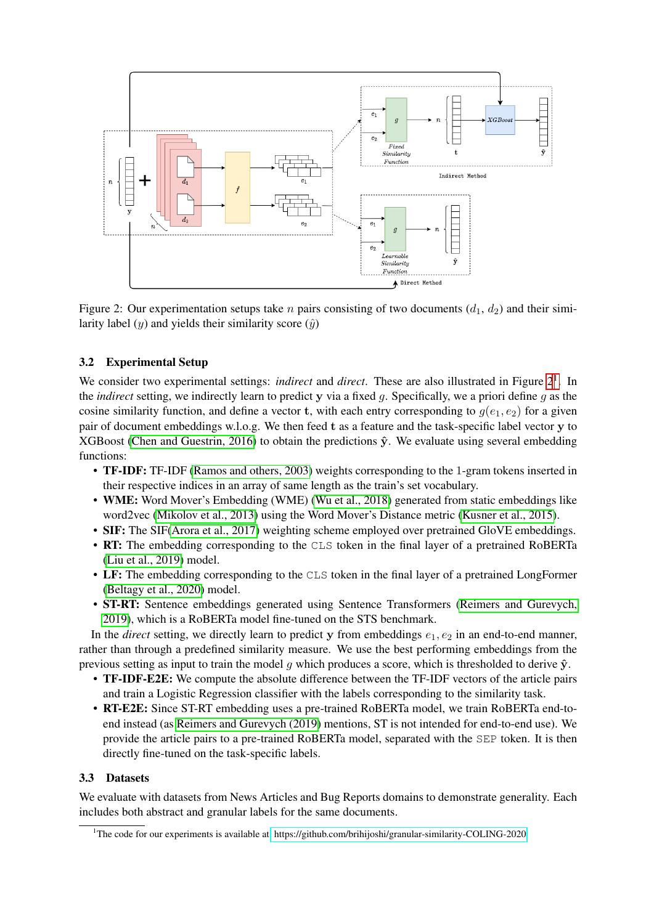<span id="page-2-0"></span>

Figure 2: Our experimentation setups take *n* pairs consisting of two documents  $(d_1, d_2)$  and their similarity label  $(y)$  and yields their similarity score  $(\hat{y})$ 

## 3.2 Experimental Setup

We consider two experimental settings: *indirect* and *direct*. These are also illustrated in Figure  $2<sup>1</sup>$  $2<sup>1</sup>$  $2<sup>1</sup>$ . In the *indirect* setting, we indirectly learn to predict y via a fixed g. Specifically, we a priori define g as the cosine similarity function, and define a vector t, with each entry corresponding to  $g(e_1, e_2)$  for a given pair of document embeddings w.l.o.g. We then feed t as a feature and the task-specific label vector y to XGBoost [\(Chen and Guestrin, 2016\)](#page-4-6) to obtain the predictions  $\hat{y}$ . We evaluate using several embedding functions:

- **TF-IDF:** TF-IDF [\(Ramos and others, 2003\)](#page-5-13) weights corresponding to the 1-gram tokens inserted in their respective indices in an array of same length as the train's set vocabulary.
- WME: Word Mover's Embedding (WME) [\(Wu et al., 2018\)](#page-6-3) generated from static embeddings like word2vec [\(Mikolov et al., 2013\)](#page-5-3) using the Word Mover's Distance metric [\(Kusner et al., 2015\)](#page-5-14).
- SIF: The SIF[\(Arora et al., 2017\)](#page-4-7) weighting scheme employed over pretrained GloVE embeddings.
- RT: The embedding corresponding to the CLS token in the final layer of a pretrained RoBERTa [\(Liu et al., 2019\)](#page-5-10) model.
- LF: The embedding corresponding to the CLS token in the final layer of a pretrained LongFormer [\(Beltagy et al., 2020\)](#page-4-8) model.
- ST-RT: Sentence embeddings generated using Sentence Transformers [\(Reimers and Gurevych,](#page-5-15) [2019\)](#page-5-15), which is a RoBERTa model fine-tuned on the STS benchmark.

In the *direct* setting, we directly learn to predict y from embeddings  $e_1, e_2$  in an end-to-end manner, rather than through a predefined similarity measure. We use the best performing embeddings from the previous setting as input to train the model q which produces a score, which is thresholded to derive  $\hat{y}$ .

- TF-IDF-E2E: We compute the absolute difference between the TF-IDF vectors of the article pairs and train a Logistic Regression classifier with the labels corresponding to the similarity task.
- RT-E2E: Since ST-RT embedding uses a pre-trained RoBERTa model, we train RoBERTa end-toend instead (as [Reimers and Gurevych \(2019\)](#page-5-15) mentions, ST is not intended for end-to-end use). We provide the article pairs to a pre-trained RoBERTa model, separated with the SEP token. It is then directly fine-tuned on the task-specific labels.

### 3.3 Datasets

We evaluate with datasets from News Articles and Bug Reports domains to demonstrate generality. Each includes both abstract and granular labels for the same documents.

<span id="page-2-1"></span><sup>1</sup>The code for our experiments is available at<https://github.com/brihijoshi/granular-similarity-COLING-2020>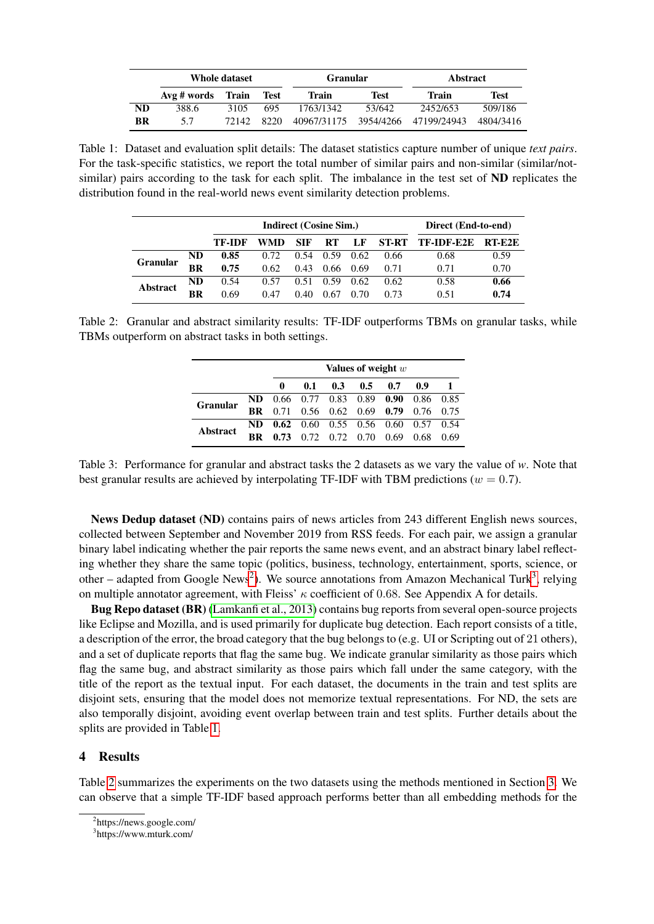<span id="page-3-2"></span>

|    | Whole dataset |                             |      | <b>Granular</b>                   |        | <b>Abstract</b> |           |  |
|----|---------------|-----------------------------|------|-----------------------------------|--------|-----------------|-----------|--|
|    |               | Avg # words Train<br>- Test |      | Train                             | Test   | Train           | Test      |  |
| ND | 388.6         | 3105                        | 695  | 1763/1342                         | 53/642 | 2452/653        | 509/186   |  |
| BR | 5.7           | 72142                       | 8220 | 40967/31175 3954/4266 47199/24943 |        |                 | 4804/3416 |  |

Table 1: Dataset and evaluation split details: The dataset statistics capture number of unique *text pairs*. For the task-specific statistics, we report the total number of similar pairs and non-similar (similar/notsimilar) pairs according to the task for each split. The imbalance in the test set of ND replicates the distribution found in the real-world news event similarity detection problems.

<span id="page-3-3"></span>

|                 |     | Indirect (Cosine Sim.) |      |            |           |      |      | Direct (End-to-end) |            |  |
|-----------------|-----|------------------------|------|------------|-----------|------|------|---------------------|------------|--|
|                 |     | TF-IDF                 | WMD  | <b>SIF</b> | <b>RT</b> | LF   |      | ST-RT TF-IDF-E2E    | $RT$ $E2E$ |  |
| <b>Granular</b> | ND. | 0.85                   | 0.72 | 0.54       | 0.59      | 0.62 | 0.66 | 0.68                | 0.59       |  |
|                 | BR  | 0.75                   | 0.62 | 0.43       | 0.66      | 0.69 | 0.71 | 0.71                | 0.70       |  |
| <b>Abstract</b> | ND  | 0.54                   | 0.57 | 0.51       | 0.59      | 0.62 | 0.62 | 0.58                | 0.66       |  |
|                 | BR  | 0.69                   | 0.47 | 0.40       | 0.67      | 0.70 | 0.73 | 0.51                | 0.74       |  |

Table 2: Granular and abstract similarity results: TF-IDF outperforms TBMs on granular tasks, while TBMs outperform on abstract tasks in both settings.

|                 |           | Values of weight $w$ |     |                      |                                           |      |           |      |
|-----------------|-----------|----------------------|-----|----------------------|-------------------------------------------|------|-----------|------|
|                 |           | 0                    | 0.1 | 0.3                  | 0.5                                       | 0.7  | 0.9       |      |
| <b>Granular</b> | ND.       |                      |     |                      | $0.66$ 0.77 0.83 0.89 0.90                |      | 0.86 0.85 |      |
|                 | <b>BR</b> | 0.71                 |     |                      | $0.56$ $0.62$ $0.69$ $0.79$ $0.76$ $0.75$ |      |           |      |
| Abstract        | ND.       |                      |     |                      | <b>0.62</b> 0.60 0.55 0.56 0.60 0.57 0.54 |      |           |      |
|                 | <b>BR</b> | 0.73                 |     | $0.72$ $0.72$ $0.70$ |                                           | 0.69 | 0.68      | 0.69 |

Table 3: Performance for granular and abstract tasks the 2 datasets as we vary the value of *w*. Note that best granular results are achieved by interpolating TF-IDF with TBM predictions ( $w = 0.7$ ).

News Dedup dataset (ND) contains pairs of news articles from 243 different English news sources, collected between September and November 2019 from RSS feeds. For each pair, we assign a granular binary label indicating whether the pair reports the same news event, and an abstract binary label reflecting whether they share the same topic (politics, business, technology, entertainment, sports, science, or other – adapted from Google News<sup>[2](#page-3-0)</sup>). We source annotations from Amazon Mechanical Turk<sup>[3](#page-3-1)</sup>, relying on multiple annotator agreement, with Fleiss'  $\kappa$  coefficient of 0.68. See Appendix A for details.

Bug Repo dataset (BR) [\(Lamkanfi et al., 2013\)](#page-5-16) contains bug reports from several open-source projects like Eclipse and Mozilla, and is used primarily for duplicate bug detection. Each report consists of a title, a description of the error, the broad category that the bug belongs to (e.g. UI or Scripting out of 21 others), and a set of duplicate reports that flag the same bug. We indicate granular similarity as those pairs which flag the same bug, and abstract similarity as those pairs which fall under the same category, with the title of the report as the textual input. For each dataset, the documents in the train and test splits are disjoint sets, ensuring that the model does not memorize textual representations. For ND, the sets are also temporally disjoint, avoiding event overlap between train and test splits. Further details about the splits are provided in Table [1.](#page-3-2)

### 4 Results

Table [2](#page-3-3) summarizes the experiments on the two datasets using the methods mentioned in Section [3.](#page-1-1) We can observe that a simple TF-IDF based approach performs better than all embedding methods for the

<span id="page-3-0"></span><sup>2</sup> https://news.google.com/

<span id="page-3-1"></span><sup>3</sup> https://www.mturk.com/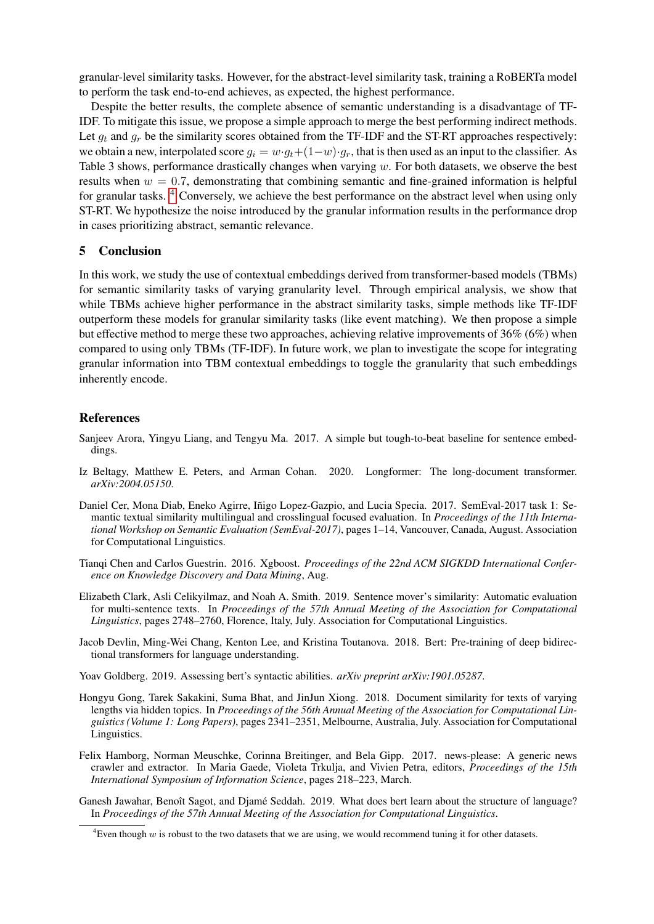granular-level similarity tasks. However, for the abstract-level similarity task, training a RoBERTa model to perform the task end-to-end achieves, as expected, the highest performance.

Despite the better results, the complete absence of semantic understanding is a disadvantage of TF-IDF. To mitigate this issue, we propose a simple approach to merge the best performing indirect methods. Let  $g_t$  and  $g_r$  be the similarity scores obtained from the TF-IDF and the ST-RT approaches respectively: we obtain a new, interpolated score  $q_i = w \cdot q_i + (1-w) \cdot q_r$ , that is then used as an input to the classifier. As Table 3 shows, performance drastically changes when varying w. For both datasets, we observe the best results when  $w = 0.7$ , demonstrating that combining semantic and fine-grained information is helpful for granular tasks. [4](#page-4-9) Conversely, we achieve the best performance on the abstract level when using only ST-RT. We hypothesize the noise introduced by the granular information results in the performance drop in cases prioritizing abstract, semantic relevance.

### 5 Conclusion

In this work, we study the use of contextual embeddings derived from transformer-based models (TBMs) for semantic similarity tasks of varying granularity level. Through empirical analysis, we show that while TBMs achieve higher performance in the abstract similarity tasks, simple methods like TF-IDF outperform these models for granular similarity tasks (like event matching). We then propose a simple but effective method to merge these two approaches, achieving relative improvements of 36% (6%) when compared to using only TBMs (TF-IDF). In future work, we plan to investigate the scope for integrating granular information into TBM contextual embeddings to toggle the granularity that such embeddings inherently encode.

### References

- <span id="page-4-7"></span>Sanjeev Arora, Yingyu Liang, and Tengyu Ma. 2017. A simple but tough-to-beat baseline for sentence embeddings.
- <span id="page-4-8"></span>Iz Beltagy, Matthew E. Peters, and Arman Cohan. 2020. Longformer: The long-document transformer. *arXiv:2004.05150*.
- <span id="page-4-3"></span>Daniel Cer, Mona Diab, Eneko Agirre, Iñigo Lopez-Gazpio, and Lucia Specia. 2017. SemEval-2017 task 1: Semantic textual similarity multilingual and crosslingual focused evaluation. In *Proceedings of the 11th International Workshop on Semantic Evaluation (SemEval-2017)*, pages 1–14, Vancouver, Canada, August. Association for Computational Linguistics.
- <span id="page-4-6"></span>Tianqi Chen and Carlos Guestrin. 2016. Xgboost. *Proceedings of the 22nd ACM SIGKDD International Conference on Knowledge Discovery and Data Mining*, Aug.
- <span id="page-4-5"></span>Elizabeth Clark, Asli Celikyilmaz, and Noah A. Smith. 2019. Sentence mover's similarity: Automatic evaluation for multi-sentence texts. In *Proceedings of the 57th Annual Meeting of the Association for Computational Linguistics*, pages 2748–2760, Florence, Italy, July. Association for Computational Linguistics.
- <span id="page-4-0"></span>Jacob Devlin, Ming-Wei Chang, Kenton Lee, and Kristina Toutanova. 2018. Bert: Pre-training of deep bidirectional transformers for language understanding.
- <span id="page-4-2"></span>Yoav Goldberg. 2019. Assessing bert's syntactic abilities. *arXiv preprint arXiv:1901.05287*.
- <span id="page-4-4"></span>Hongyu Gong, Tarek Sakakini, Suma Bhat, and JinJun Xiong. 2018. Document similarity for texts of varying lengths via hidden topics. In *Proceedings of the 56th Annual Meeting of the Association for Computational Linguistics (Volume 1: Long Papers)*, pages 2341–2351, Melbourne, Australia, July. Association for Computational Linguistics.
- <span id="page-4-10"></span>Felix Hamborg, Norman Meuschke, Corinna Breitinger, and Bela Gipp. 2017. news-please: A generic news crawler and extractor. In Maria Gaede, Violeta Trkulja, and Vivien Petra, editors, *Proceedings of the 15th International Symposium of Information Science*, pages 218–223, March.
- <span id="page-4-1"></span>Ganesh Jawahar, Benoît Sagot, and Djamé Seddah. 2019. What does bert learn about the structure of language? In *Proceedings of the 57th Annual Meeting of the Association for Computational Linguistics*.

<span id="page-4-9"></span><sup>&</sup>lt;sup>4</sup>Even though  $w$  is robust to the two datasets that we are using, we would recommend tuning it for other datasets.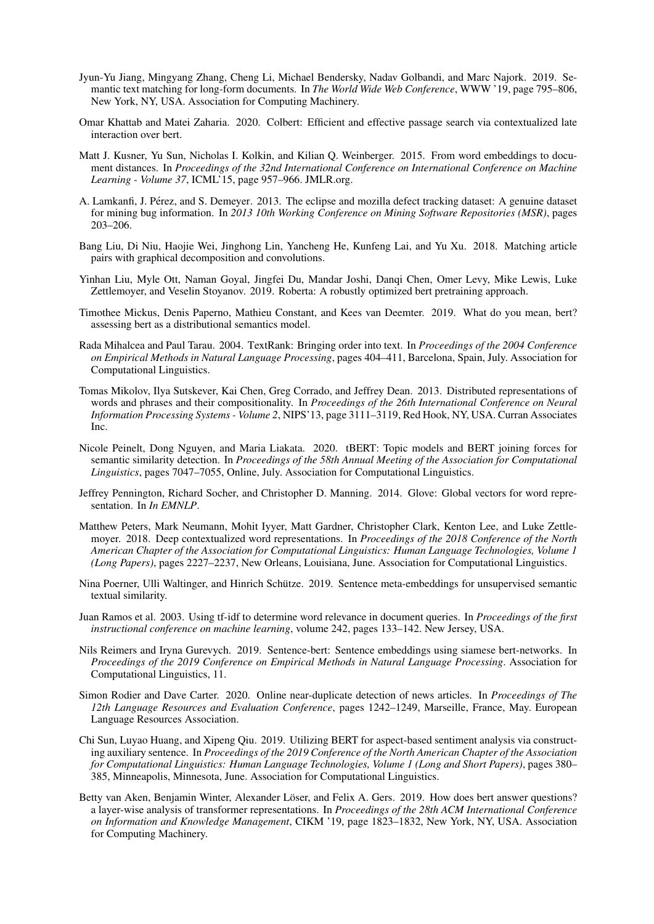- <span id="page-5-6"></span>Jyun-Yu Jiang, Mingyang Zhang, Cheng Li, Michael Bendersky, Nadav Golbandi, and Marc Najork. 2019. Semantic text matching for long-form documents. In *The World Wide Web Conference*, WWW '19, page 795–806, New York, NY, USA. Association for Computing Machinery.
- <span id="page-5-12"></span>Omar Khattab and Matei Zaharia. 2020. Colbert: Efficient and effective passage search via contextualized late interaction over bert.
- <span id="page-5-14"></span>Matt J. Kusner, Yu Sun, Nicholas I. Kolkin, and Kilian Q. Weinberger. 2015. From word embeddings to document distances. In *Proceedings of the 32nd International Conference on International Conference on Machine Learning - Volume 37*, ICML'15, page 957–966. JMLR.org.
- <span id="page-5-16"></span>A. Lamkanfi, J. Pérez, and S. Demeyer. 2013. The eclipse and mozilla defect tracking dataset: A genuine dataset for mining bug information. In *2013 10th Working Conference on Mining Software Repositories (MSR)*, pages 203–206.
- <span id="page-5-9"></span>Bang Liu, Di Niu, Haojie Wei, Jinghong Lin, Yancheng He, Kunfeng Lai, and Yu Xu. 2018. Matching article pairs with graphical decomposition and convolutions.
- <span id="page-5-10"></span>Yinhan Liu, Myle Ott, Naman Goyal, Jingfei Du, Mandar Joshi, Danqi Chen, Omer Levy, Mike Lewis, Luke Zettlemoyer, and Veselin Stoyanov. 2019. Roberta: A robustly optimized bert pretraining approach.
- <span id="page-5-5"></span>Timothee Mickus, Denis Paperno, Mathieu Constant, and Kees van Deemter. 2019. What do you mean, bert? assessing bert as a distributional semantics model.
- <span id="page-5-17"></span>Rada Mihalcea and Paul Tarau. 2004. TextRank: Bringing order into text. In *Proceedings of the 2004 Conference on Empirical Methods in Natural Language Processing*, pages 404–411, Barcelona, Spain, July. Association for Computational Linguistics.
- <span id="page-5-3"></span>Tomas Mikolov, Ilya Sutskever, Kai Chen, Greg Corrado, and Jeffrey Dean. 2013. Distributed representations of words and phrases and their compositionality. In *Proceedings of the 26th International Conference on Neural Information Processing Systems - Volume 2*, NIPS'13, page 3111–3119, Red Hook, NY, USA. Curran Associates Inc.
- <span id="page-5-11"></span>Nicole Peinelt, Dong Nguyen, and Maria Liakata. 2020. tBERT: Topic models and BERT joining forces for semantic similarity detection. In *Proceedings of the 58th Annual Meeting of the Association for Computational Linguistics*, pages 7047–7055, Online, July. Association for Computational Linguistics.
- <span id="page-5-4"></span>Jeffrey Pennington, Richard Socher, and Christopher D. Manning. 2014. Glove: Global vectors for word representation. In *In EMNLP*.
- <span id="page-5-0"></span>Matthew Peters, Mark Neumann, Mohit Iyyer, Matt Gardner, Christopher Clark, Kenton Lee, and Luke Zettlemoyer. 2018. Deep contextualized word representations. In *Proceedings of the 2018 Conference of the North American Chapter of the Association for Computational Linguistics: Human Language Technologies, Volume 1 (Long Papers)*, pages 2227–2237, New Orleans, Louisiana, June. Association for Computational Linguistics.
- <span id="page-5-7"></span>Nina Poerner, Ulli Waltinger, and Hinrich Schütze. 2019. Sentence meta-embeddings for unsupervised semantic textual similarity.
- <span id="page-5-13"></span>Juan Ramos et al. 2003. Using tf-idf to determine word relevance in document queries. In *Proceedings of the first instructional conference on machine learning*, volume 242, pages 133–142. New Jersey, USA.
- <span id="page-5-15"></span>Nils Reimers and Iryna Gurevych. 2019. Sentence-bert: Sentence embeddings using siamese bert-networks. In *Proceedings of the 2019 Conference on Empirical Methods in Natural Language Processing*. Association for Computational Linguistics, 11.
- <span id="page-5-8"></span>Simon Rodier and Dave Carter. 2020. Online near-duplicate detection of news articles. In *Proceedings of The 12th Language Resources and Evaluation Conference*, pages 1242–1249, Marseille, France, May. European Language Resources Association.
- <span id="page-5-2"></span>Chi Sun, Luyao Huang, and Xipeng Qiu. 2019. Utilizing BERT for aspect-based sentiment analysis via constructing auxiliary sentence. In *Proceedings of the 2019 Conference of the North American Chapter of the Association for Computational Linguistics: Human Language Technologies, Volume 1 (Long and Short Papers)*, pages 380– 385, Minneapolis, Minnesota, June. Association for Computational Linguistics.
- <span id="page-5-1"></span>Betty van Aken, Benjamin Winter, Alexander Löser, and Felix A. Gers. 2019. How does bert answer questions? a layer-wise analysis of transformer representations. In *Proceedings of the 28th ACM International Conference on Information and Knowledge Management*, CIKM '19, page 1823–1832, New York, NY, USA. Association for Computing Machinery.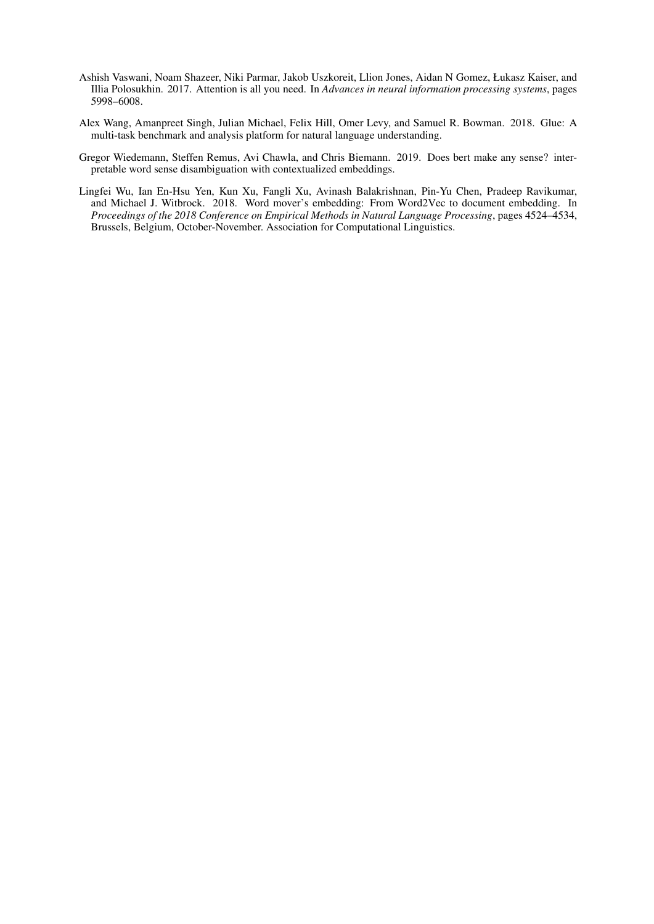- <span id="page-6-1"></span>Ashish Vaswani, Noam Shazeer, Niki Parmar, Jakob Uszkoreit, Llion Jones, Aidan N Gomez, Łukasz Kaiser, and Illia Polosukhin. 2017. Attention is all you need. In *Advances in neural information processing systems*, pages 5998–6008.
- <span id="page-6-2"></span>Alex Wang, Amanpreet Singh, Julian Michael, Felix Hill, Omer Levy, and Samuel R. Bowman. 2018. Glue: A multi-task benchmark and analysis platform for natural language understanding.
- <span id="page-6-0"></span>Gregor Wiedemann, Steffen Remus, Avi Chawla, and Chris Biemann. 2019. Does bert make any sense? interpretable word sense disambiguation with contextualized embeddings.
- <span id="page-6-3"></span>Lingfei Wu, Ian En-Hsu Yen, Kun Xu, Fangli Xu, Avinash Balakrishnan, Pin-Yu Chen, Pradeep Ravikumar, and Michael J. Witbrock. 2018. Word mover's embedding: From Word2Vec to document embedding. In *Proceedings of the 2018 Conference on Empirical Methods in Natural Language Processing*, pages 4524–4534, Brussels, Belgium, October-November. Association for Computational Linguistics.